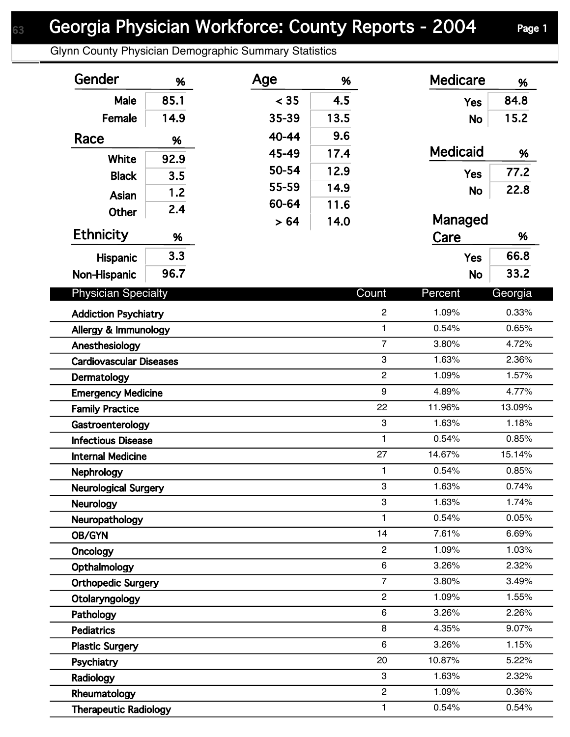## Georgia Physician Workforce: County Reports - 2004 Page 1

Glynn County Physician Demographic Summary Statistics

| Gender                         | %    | Age   | %    |                | <b>Medicare</b> | %       |
|--------------------------------|------|-------|------|----------------|-----------------|---------|
| Male                           | 85.1 | < 35  | 4.5  |                | <b>Yes</b>      | 84.8    |
| Female                         | 14.9 | 35-39 | 13.5 |                | <b>No</b>       | 15.2    |
| Race                           | %    | 40-44 | 9.6  |                |                 |         |
|                                |      | 45-49 | 17.4 |                | <b>Medicaid</b> | %       |
| White                          | 92.9 | 50-54 | 12.9 |                | <b>Yes</b>      | 77.2    |
| <b>Black</b>                   | 3.5  | 55-59 | 14.9 |                | <b>No</b>       | 22.8    |
| Asian                          | 1.2  | 60-64 | 11.6 |                |                 |         |
| Other                          | 2.4  | > 64  | 14.0 |                | Managed         |         |
| <b>Ethnicity</b>               | %    |       |      |                | Care            | %       |
| <b>Hispanic</b>                | 3.3  |       |      |                | <b>Yes</b>      | 66.8    |
| Non-Hispanic                   | 96.7 |       |      |                | <b>No</b>       | 33.2    |
|                                |      |       |      |                |                 |         |
| <b>Physician Specialty</b>     |      |       |      | Count          | Percent         | Georgia |
| <b>Addiction Psychiatry</b>    |      |       |      | $\overline{2}$ | 1.09%           | 0.33%   |
| Allergy & Immunology           |      |       |      | $\mathbf{1}$   | 0.54%           | 0.65%   |
| Anesthesiology                 |      |       |      | $\overline{7}$ | 3.80%           | 4.72%   |
| <b>Cardiovascular Diseases</b> |      |       |      | 3              | 1.63%           | 2.36%   |
| Dermatology                    |      |       |      | $\overline{c}$ | 1.09%           | 1.57%   |
| <b>Emergency Medicine</b>      |      |       |      | 9              | 4.89%           | 4.77%   |
| <b>Family Practice</b>         |      |       |      | 22             | 11.96%          | 13.09%  |
| Gastroenterology               |      |       |      | 3              | 1.63%           | 1.18%   |
| <b>Infectious Disease</b>      |      |       |      | $\mathbf{1}$   | 0.54%           | 0.85%   |
| <b>Internal Medicine</b>       |      |       |      | 27             | 14.67%          | 15.14%  |
| Nephrology                     |      |       |      | $\mathbf{1}$   | 0.54%           | 0.85%   |
| <b>Neurological Surgery</b>    |      |       |      | 3              | 1.63%           | 0.74%   |
| <b>Neurology</b>               |      |       |      | 3              | 1.63%           | 1.74%   |
| Neuropathology                 |      |       |      | $\mathbf{1}$   | 0.54%           | 0.05%   |
| OB/GYN                         |      |       |      | 14             | 7.61%           | 6.69%   |
| Oncology                       |      |       |      | $\overline{c}$ | 1.09%           | 1.03%   |
| Opthalmology                   |      |       |      | 6              | 3.26%           | 2.32%   |
| <b>Orthopedic Surgery</b>      |      |       |      | $\overline{7}$ | 3.80%           | 3.49%   |
| Otolaryngology                 |      |       |      | $\overline{2}$ | 1.09%           | 1.55%   |
| Pathology                      |      |       |      | 6              | 3.26%           | 2.26%   |
| <b>Pediatrics</b>              |      |       |      | 8              | 4.35%           | 9.07%   |
| <b>Plastic Surgery</b>         |      |       |      | 6              | 3.26%           | 1.15%   |
| Psychiatry                     |      |       |      | 20             | 10.87%          | 5.22%   |
| Radiology                      |      |       |      | 3              | 1.63%           | 2.32%   |
| Rheumatology                   |      |       |      | $\overline{2}$ | 1.09%           | 0.36%   |
| <b>Therapeutic Radiology</b>   |      |       |      | $\mathbf{1}$   | 0.54%           | 0.54%   |